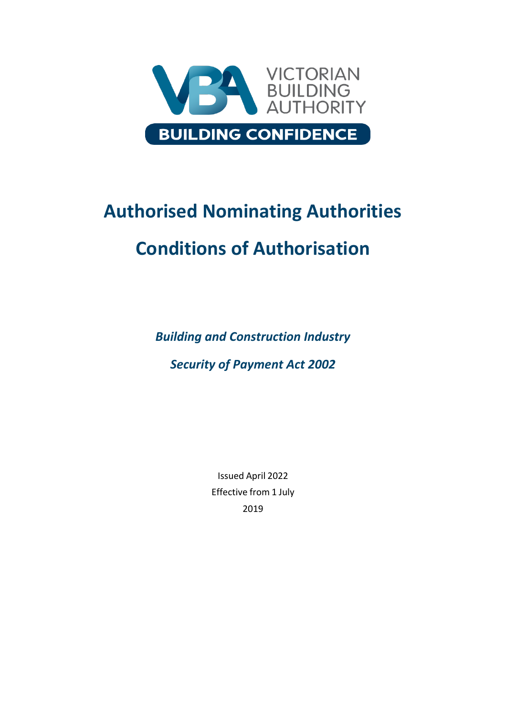

# **Authorised Nominating Authorities Conditions of Authorisation**

*Building and Construction Industry*

*Security of Payment Act 2002*

Issued April 2022 Effective from 1 July 2019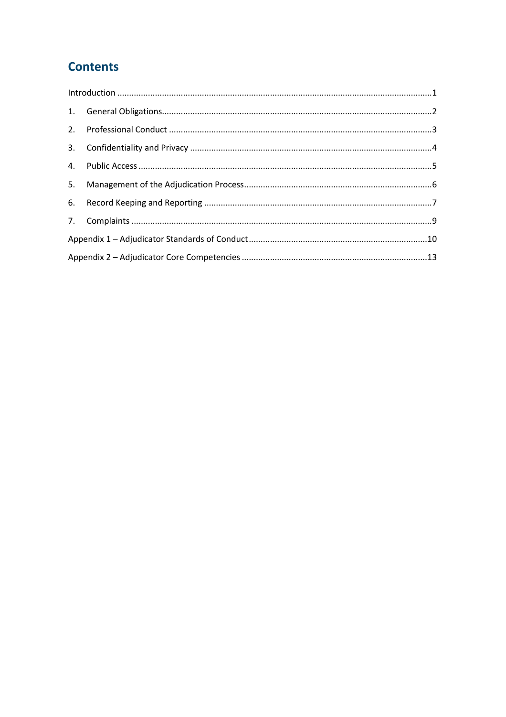# **Contents**

| $\label{lem:1} \mbox{Introduction} \,\, \ldots \,\, \ldots \,\, \ldots \,\, \ldots \,\, \ldots \,\, \ldots \,\, \ldots \,\, \ldots \,\, \ldots \,\, \ldots \,\, \ldots \,\, \ldots \,\, \ldots \,\, \ldots \,\, \ldots \,\, \ldots \,\, \ldots \,\, \ldots \,\, \ldots \,\, \ldots \,\, \ldots \,\, \ldots \,\, \ldots \,\, \ldots \,\, \ldots \,\, \ldots \,\, \ldots \,\, \ldots \,\, \ldots \,\, \ldots \,\, \ldots \,\, \ldots \,\, \ldots \,\, \ldots \,\,$ |  |  |
|------------------------------------------------------------------------------------------------------------------------------------------------------------------------------------------------------------------------------------------------------------------------------------------------------------------------------------------------------------------------------------------------------------------------------------------------------------------|--|--|
|                                                                                                                                                                                                                                                                                                                                                                                                                                                                  |  |  |
|                                                                                                                                                                                                                                                                                                                                                                                                                                                                  |  |  |
|                                                                                                                                                                                                                                                                                                                                                                                                                                                                  |  |  |
|                                                                                                                                                                                                                                                                                                                                                                                                                                                                  |  |  |
|                                                                                                                                                                                                                                                                                                                                                                                                                                                                  |  |  |
|                                                                                                                                                                                                                                                                                                                                                                                                                                                                  |  |  |
|                                                                                                                                                                                                                                                                                                                                                                                                                                                                  |  |  |
|                                                                                                                                                                                                                                                                                                                                                                                                                                                                  |  |  |
|                                                                                                                                                                                                                                                                                                                                                                                                                                                                  |  |  |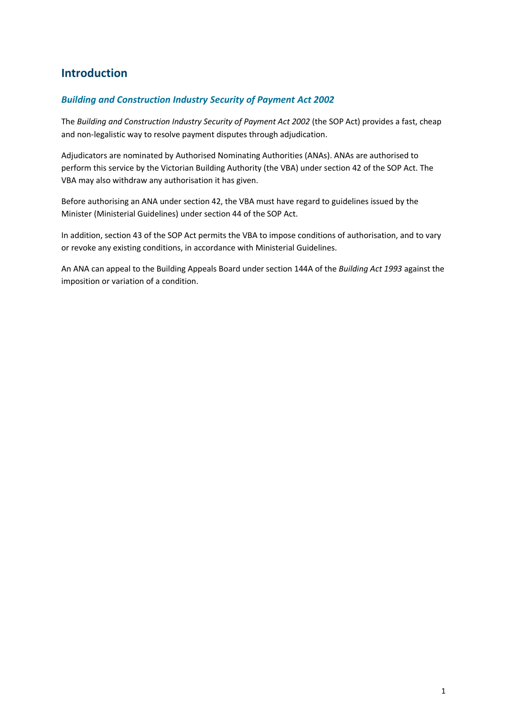# <span id="page-2-0"></span>**Introduction**

# *Building and Construction Industry Security of Payment Act 2002*

The *Building and Construction Industry Security of Payment Act 2002* (the SOP Act) provides a fast, cheap and non-legalistic way to resolve payment disputes through adjudication.

Adjudicators are nominated by Authorised Nominating Authorities (ANAs). ANAs are authorised to perform this service by the Victorian Building Authority (the VBA) under section 42 of the SOP Act. The VBA may also withdraw any authorisation it has given.

Before authorising an ANA under section 42, the VBA must have regard to guidelines issued by the Minister (Ministerial Guidelines) under section 44 of the SOP Act.

In addition, section 43 of the SOP Act permits the VBA to impose conditions of authorisation, and to vary or revoke any existing conditions, in accordance with Ministerial Guidelines.

An ANA can appeal to the Building Appeals Board under section 144A of the *Building Act 1993* against the imposition or variation of a condition.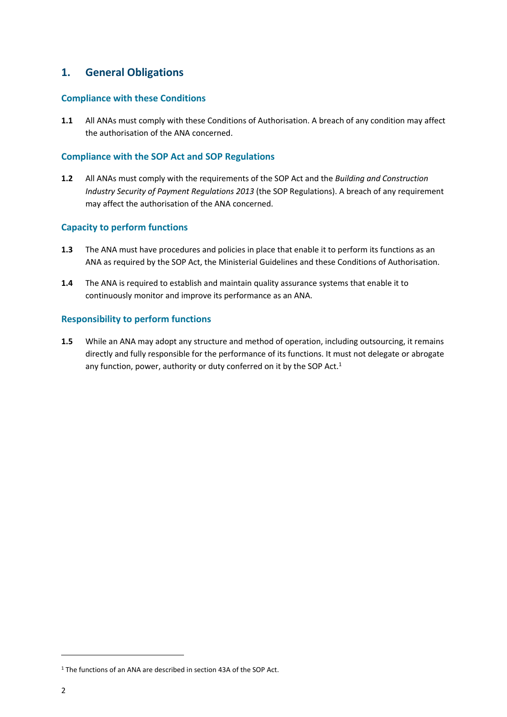# <span id="page-3-0"></span>**1. General Obligations**

### **Compliance with these Conditions**

**1.1** All ANAs must comply with these Conditions of Authorisation. A breach of any condition may affect the authorisation of the ANA concerned.

### **Compliance with the SOP Act and SOP Regulations**

**1.2** All ANAs must comply with the requirements of the SOP Act and the *Building and Construction Industry Security of Payment Regulations 2013* (the SOP Regulations). A breach of any requirement may affect the authorisation of the ANA concerned.

### **Capacity to perform functions**

- **1.3** The ANA must have procedures and policies in place that enable it to perform its functions as an ANA as required by the SOP Act, the Ministerial Guidelines and these Conditions of Authorisation.
- **1.4** The ANA is required to establish and maintain quality assurance systems that enable it to continuously monitor and improve its performance as an ANA.

### **Responsibility to perform functions**

**1.5** While an ANA may adopt any structure and method of operation, including outsourcing, it remains directly and fully responsible for the performance of its functions. It must not delegate or abrogate any function, power, authority or duty conferred on it by the SOP Act.<sup>1</sup>

 $\overline{a}$ 

<sup>&</sup>lt;sup>1</sup> The functions of an ANA are described in section 43A of the SOP Act.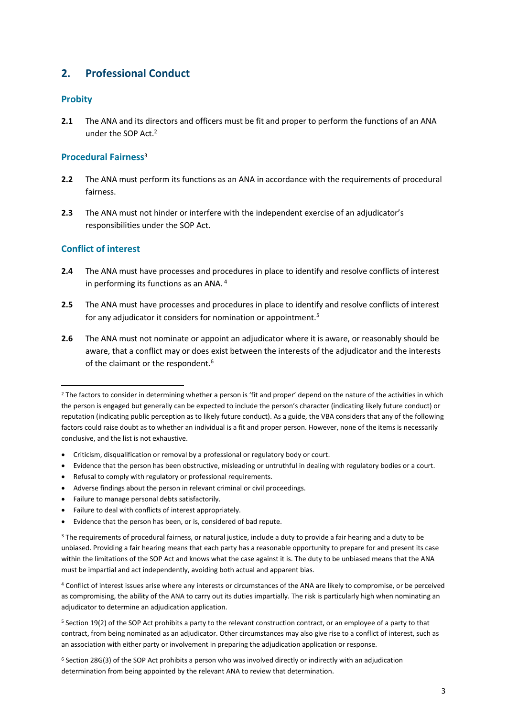# <span id="page-4-0"></span>**2. Professional Conduct**

### **Probity**

**2.1** The ANA and its directors and officers must be fit and proper to perform the functions of an ANA under the SOP Act.<sup>2</sup>

### **Procedural Fairness**<sup>3</sup>

- **2.2** The ANA must perform its functions as an ANA in accordance with the requirements of procedural fairness.
- **2.3** The ANA must not hinder or interfere with the independent exercise of an adjudicator's responsibilities under the SOP Act.

# **Conflict of interest**

1

- **2.4** The ANA must have processes and procedures in place to identify and resolve conflicts of interest in performing its functions as an ANA. <sup>4</sup>
- **2.5** The ANA must have processes and procedures in place to identify and resolve conflicts of interest for any adjudicator it considers for nomination or appointment.<sup>5</sup>
- **2.6** The ANA must not nominate or appoint an adjudicator where it is aware, or reasonably should be aware, that a conflict may or does exist between the interests of the adjudicator and the interests of the claimant or the respondent.<sup>6</sup>

- Criticism, disqualification or removal by a professional or regulatory body or court.
- Evidence that the person has been obstructive, misleading or untruthful in dealing with regulatory bodies or a court.
- Refusal to comply with regulatory or professional requirements.
- Adverse findings about the person in relevant criminal or civil proceedings.
- Failure to manage personal debts satisfactorily.
- Failure to deal with conflicts of interest appropriately.
- Evidence that the person has been, or is, considered of bad repute.

<sup>6</sup> Section 28G(3) of the SOP Act prohibits a person who was involved directly or indirectly with an adjudication determination from being appointed by the relevant ANA to review that determination.

<sup>&</sup>lt;sup>2</sup> The factors to consider in determining whether a person is 'fit and proper' depend on the nature of the activities in which the person is engaged but generally can be expected to include the person's character (indicating likely future conduct) or reputation (indicating public perception as to likely future conduct). As a guide, the VBA considers that any of the following factors could raise doubt as to whether an individual is a fit and proper person. However, none of the items is necessarily conclusive, and the list is not exhaustive.

<sup>&</sup>lt;sup>3</sup> The requirements of procedural fairness, or natural justice, include a duty to provide a fair hearing and a duty to be unbiased. Providing a fair hearing means that each party has a reasonable opportunity to prepare for and present its case within the limitations of the SOP Act and knows what the case against it is. The duty to be unbiased means that the ANA must be impartial and act independently, avoiding both actual and apparent bias.

<sup>4</sup> Conflict of interest issues arise where any interests or circumstances of the ANA are likely to compromise, or be perceived as compromising, the ability of the ANA to carry out its duties impartially. The risk is particularly high when nominating an adjudicator to determine an adjudication application.

<sup>5</sup> Section 19(2) of the SOP Act prohibits a party to the relevant construction contract, or an employee of a party to that contract, from being nominated as an adjudicator. Other circumstances may also give rise to a conflict of interest, such as an association with either party or involvement in preparing the adjudication application or response.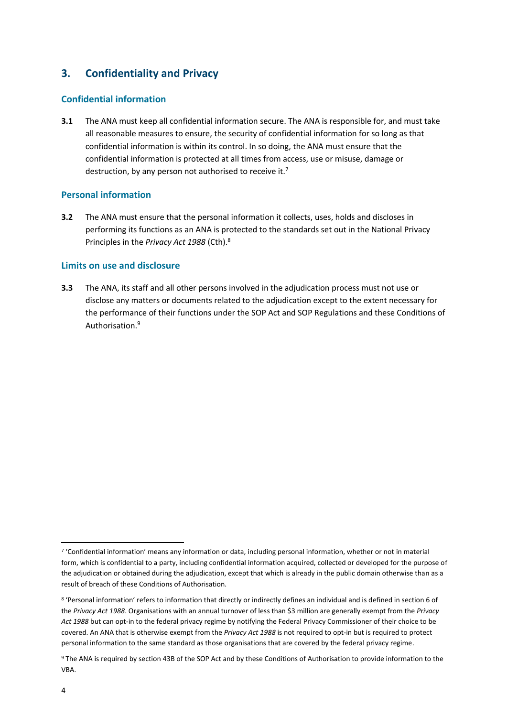# <span id="page-5-0"></span>**3. Confidentiality and Privacy**

### **Confidential information**

**3.1** The ANA must keep all confidential information secure. The ANA is responsible for, and must take all reasonable measures to ensure, the security of confidential information for so long as that confidential information is within its control. In so doing, the ANA must ensure that the confidential information is protected at all times from access, use or misuse, damage or destruction, by any person not authorised to receive it.<sup>7</sup>

# **Personal information**

**3.2** The ANA must ensure that the personal information it collects, uses, holds and discloses in performing its functions as an ANA is protected to the standards set out in the National Privacy Principles in the *Privacy Act 1988* (Cth).<sup>8</sup>

# **Limits on use and disclosure**

**3.3** The ANA, its staff and all other persons involved in the adjudication process must not use or disclose any matters or documents related to the adjudication except to the extent necessary for the performance of their functions under the SOP Act and SOP Regulations and these Conditions of Authorisation.<sup>9</sup>

<sup>1</sup> 7 'Confidential information' means any information or data, including personal information, whether or not in material form, which is confidential to a party, including confidential information acquired, collected or developed for the purpose of the adjudication or obtained during the adjudication, except that which is already in the public domain otherwise than as a result of breach of these Conditions of Authorisation.

<sup>8</sup> 'Personal information' refers to information that directly or indirectly defines an individual and is defined in section 6 of the *Privacy Act 1988*. Organisations with an annual turnover of less than \$3 million are generally exempt from the *Privacy Act 1988* but can opt-in to the federal privacy regime by notifying the Federal Privacy Commissioner of their choice to be covered. An ANA that is otherwise exempt from the *Privacy Act 1988* is not required to opt-in but is required to protect personal information to the same standard as those organisations that are covered by the federal privacy regime.

<sup>9</sup> The ANA is required by section 43B of the SOP Act and by these Conditions of Authorisation to provide information to the VBA.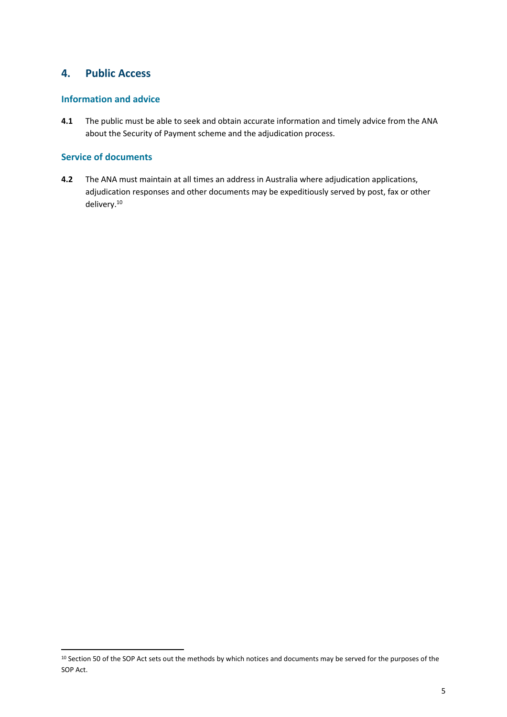# <span id="page-6-0"></span>**4. Public Access**

# **Information and advice**

**4.1** The public must be able to seek and obtain accurate information and timely advice from the ANA about the Security of Payment scheme and the adjudication process.

# **Service of documents**

**.** 

**4.2** The ANA must maintain at all times an address in Australia where adjudication applications, adjudication responses and other documents may be expeditiously served by post, fax or other delivery.<sup>10</sup>

<sup>&</sup>lt;sup>10</sup> Section 50 of the SOP Act sets out the methods by which notices and documents may be served for the purposes of the SOP Act.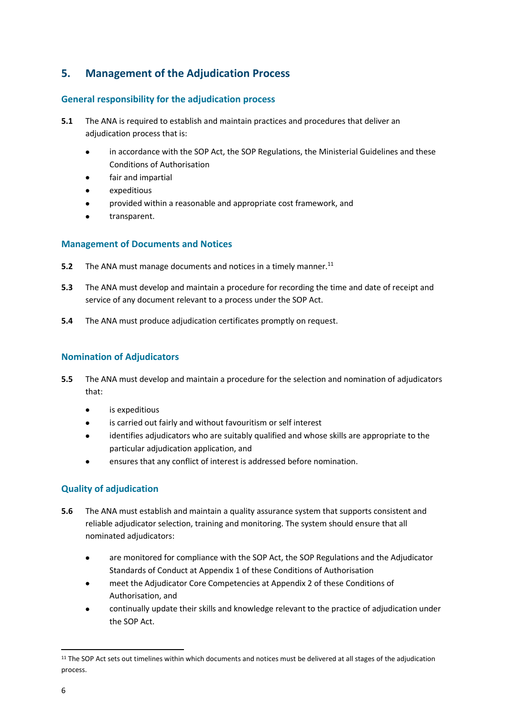# <span id="page-7-0"></span>**5. Management of the Adjudication Process**

# **General responsibility for the adjudication process**

- **5.1** The ANA is required to establish and maintain practices and procedures that deliver an adjudication process that is:
	- in accordance with the SOP Act, the SOP Regulations, the Ministerial Guidelines and these Conditions of Authorisation
	- fair and impartial
	- expeditious
	- provided within a reasonable and appropriate cost framework, and
	- transparent.

### **Management of Documents and Notices**

- **5.2** The ANA must manage documents and notices in a timely manner.<sup>11</sup>
- **5.3** The ANA must develop and maintain a procedure for recording the time and date of receipt and service of any document relevant to a process under the SOP Act.
- **5.4** The ANA must produce adjudication certificates promptly on request.

# **Nomination of Adjudicators**

- **5.5** The ANA must develop and maintain a procedure for the selection and nomination of adjudicators that:
	- is expeditious
	- is carried out fairly and without favouritism or self interest
	- identifies adjudicators who are suitably qualified and whose skills are appropriate to the particular adjudication application, and
	- ensures that any conflict of interest is addressed before nomination.

# **Quality of adjudication**

- **5.6** The ANA must establish and maintain a quality assurance system that supports consistent and reliable adjudicator selection, training and monitoring. The system should ensure that all nominated adjudicators:
	- are monitored for compliance with the SOP Act, the SOP Regulations and the Adjudicator Standards of Conduct at Appendix 1 of these Conditions of Authorisation
	- meet the Adjudicator Core Competencies at Appendix 2 of these Conditions of Authorisation, and
	- continually update their skills and knowledge relevant to the practice of adjudication under the SOP Act.

**.** 

<sup>&</sup>lt;sup>11</sup> The SOP Act sets out timelines within which documents and notices must be delivered at all stages of the adjudication process.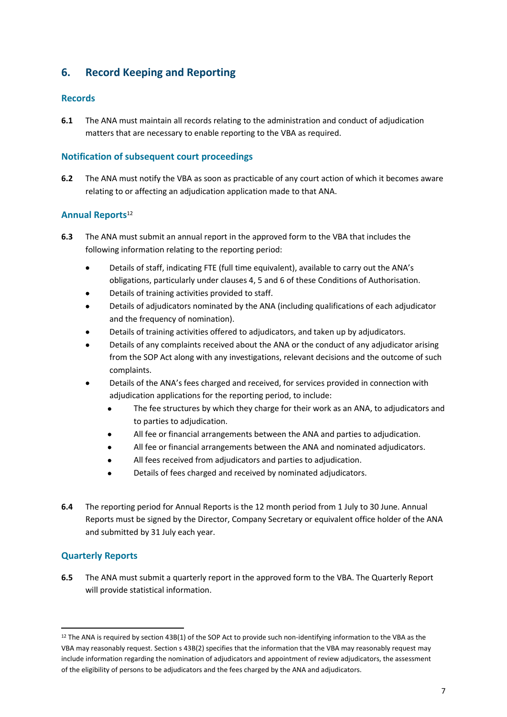# <span id="page-8-0"></span>**6. Record Keeping and Reporting**

### **Records**

**6.1** The ANA must maintain all records relating to the administration and conduct of adjudication matters that are necessary to enable reporting to the VBA as required.

### **Notification of subsequent court proceedings**

**6.2** The ANA must notify the VBA as soon as practicable of any court action of which it becomes aware relating to or affecting an adjudication application made to that ANA.

### **Annual Reports**<sup>12</sup>

- **6.3** The ANA must submit an annual report in the approved form to the VBA that includes the following information relating to the reporting period:
	- Details of staff, indicating FTE (full time equivalent), available to carry out the ANA's obligations, particularly under clauses 4, 5 and 6 of these Conditions of Authorisation.
	- Details of training activities provided to staff.
	- Details of adjudicators nominated by the ANA (including qualifications of each adjudicator and the frequency of nomination).
	- Details of training activities offered to adjudicators, and taken up by adjudicators.
	- Details of any complaints received about the ANA or the conduct of any adjudicator arising from the SOP Act along with any investigations, relevant decisions and the outcome of such complaints.
	- Details of the ANA's fees charged and received, for services provided in connection with adjudication applications for the reporting period, to include:
		- The fee structures by which they charge for their work as an ANA, to adjudicators and to parties to adjudication.
		- All fee or financial arrangements between the ANA and parties to adjudication.
		- All fee or financial arrangements between the ANA and nominated adjudicators.
		- All fees received from adjudicators and parties to adjudication.
		- Details of fees charged and received by nominated adjudicators.
- **6.4** The reporting period for Annual Reports is the 12 month period from 1 July to 30 June. Annual Reports must be signed by the Director, Company Secretary or equivalent office holder of the ANA and submitted by 31 July each year.

### **Quarterly Reports**

1

**6.5** The ANA must submit a quarterly report in the approved form to the VBA. The Quarterly Report will provide statistical information.

<sup>&</sup>lt;sup>12</sup> The ANA is required by section 43B(1) of the SOP Act to provide such non-identifying information to the VBA as the VBA may reasonably request. Section s 43B(2) specifies that the information that the VBA may reasonably request may include information regarding the nomination of adjudicators and appointment of review adjudicators, the assessment of the eligibility of persons to be adjudicators and the fees charged by the ANA and adjudicators.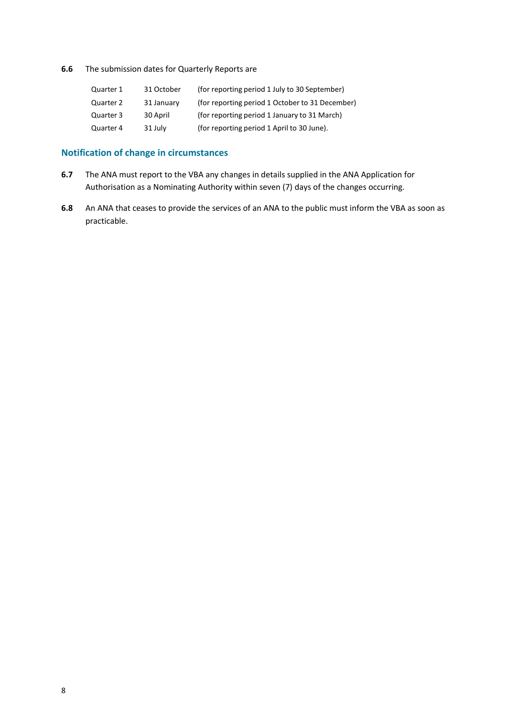**6.6** The submission dates for Quarterly Reports are

| 31 October | (for reporting period 1 July to 30 September)   |
|------------|-------------------------------------------------|
| 31 January | (for reporting period 1 October to 31 December) |
| 30 April   | (for reporting period 1 January to 31 March)    |
| 31 July    | (for reporting period 1 April to 30 June).      |
|            |                                                 |

# **Notification of change in circumstances**

- **6.7** The ANA must report to the VBA any changes in details supplied in the ANA Application for Authorisation as a Nominating Authority within seven (7) days of the changes occurring.
- **6.8** An ANA that ceases to provide the services of an ANA to the public must inform the VBA as soon as practicable.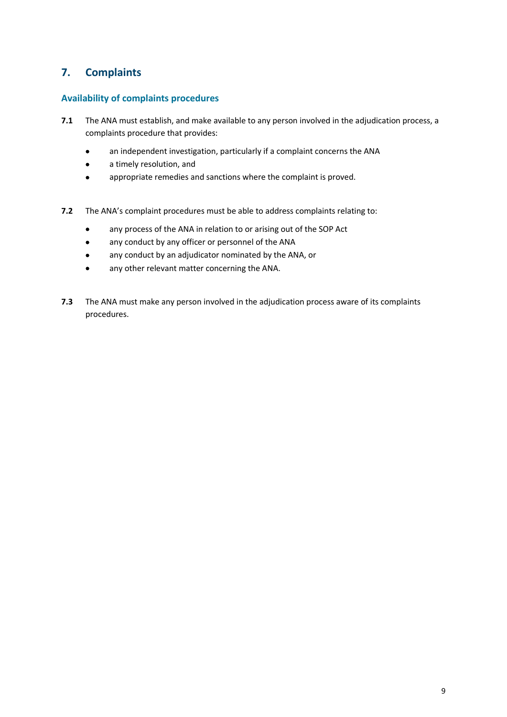# <span id="page-10-0"></span>**7. Complaints**

### **Availability of complaints procedures**

- **7.1** The ANA must establish, and make available to any person involved in the adjudication process, a complaints procedure that provides:
	- an independent investigation, particularly if a complaint concerns the ANA
	- a timely resolution, and
	- appropriate remedies and sanctions where the complaint is proved.
- **7.2** The ANA's complaint procedures must be able to address complaints relating to:
	- any process of the ANA in relation to or arising out of the SOP Act
	- any conduct by any officer or personnel of the ANA
	- any conduct by an adjudicator nominated by the ANA, or
	- any other relevant matter concerning the ANA.
- **7.3** The ANA must make any person involved in the adjudication process aware of its complaints procedures.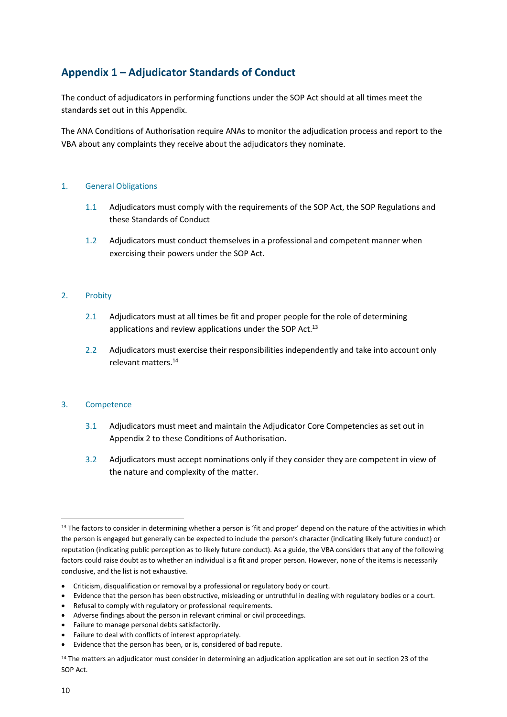# <span id="page-11-0"></span>**Appendix 1 – Adjudicator Standards of Conduct**

The conduct of adjudicators in performing functions under the SOP Act should at all times meet the standards set out in this Appendix.

The ANA Conditions of Authorisation require ANAs to monitor the adjudication process and report to the VBA about any complaints they receive about the adjudicators they nominate.

### 1. General Obligations

- 1.1 Adjudicators must comply with the requirements of the SOP Act, the SOP Regulations and these Standards of Conduct
- 1.2 Adjudicators must conduct themselves in a professional and competent manner when exercising their powers under the SOP Act.

#### 2. Probity

- 2.1 Adjudicators must at all times be fit and proper people for the role of determining applications and review applications under the SOP Act.<sup>13</sup>
- 2.2 Adjudicators must exercise their responsibilities independently and take into account only relevant matters. 14

#### 3. Competence

- 3.1 Adjudicators must meet and maintain the Adjudicator Core Competencies as set out in Appendix 2 to these Conditions of Authorisation.
- 3.2 Adjudicators must accept nominations only if they consider they are competent in view of the nature and complexity of the matter.

- Criticism, disqualification or removal by a professional or regulatory body or court.
- Evidence that the person has been obstructive, misleading or untruthful in dealing with regulatory bodies or a court.
- Refusal to comply with regulatory or professional requirements.
- Adverse findings about the person in relevant criminal or civil proceedings.
- Failure to manage personal debts satisfactorily.
- Failure to deal with conflicts of interest appropriately.
- Evidence that the person has been, or is, considered of bad repute.

<sup>1</sup>  $13$  The factors to consider in determining whether a person is 'fit and proper' depend on the nature of the activities in which the person is engaged but generally can be expected to include the person's character (indicating likely future conduct) or reputation (indicating public perception as to likely future conduct). As a guide, the VBA considers that any of the following factors could raise doubt as to whether an individual is a fit and proper person. However, none of the items is necessarily conclusive, and the list is not exhaustive.

<sup>&</sup>lt;sup>14</sup> The matters an adjudicator must consider in determining an adjudication application are set out in section 23 of the SOP Act.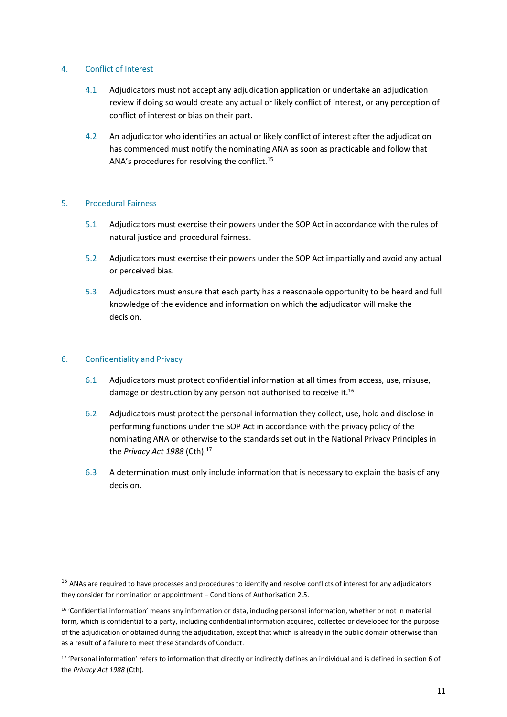### 4. Conflict of Interest

- 4.1 Adjudicators must not accept any adjudication application or undertake an adjudication review if doing so would create any actual or likely conflict of interest, or any perception of conflict of interest or bias on their part.
- 4.2 An adjudicator who identifies an actual or likely conflict of interest after the adjudication has commenced must notify the nominating ANA as soon as practicable and follow that ANA's procedures for resolving the conflict.<sup>15</sup>

### 5. Procedural Fairness

- 5.1 Adjudicators must exercise their powers under the SOP Act in accordance with the rules of natural justice and procedural fairness.
- 5.2 Adjudicators must exercise their powers under the SOP Act impartially and avoid any actual or perceived bias.
- 5.3 Adjudicators must ensure that each party has a reasonable opportunity to be heard and full knowledge of the evidence and information on which the adjudicator will make the decision.

### 6. Confidentiality and Privacy

1

- 6.1 Adjudicators must protect confidential information at all times from access, use, misuse, damage or destruction by any person not authorised to receive it.<sup>16</sup>
- 6.2 Adjudicators must protect the personal information they collect, use, hold and disclose in performing functions under the SOP Act in accordance with the privacy policy of the nominating ANA or otherwise to the standards set out in the National Privacy Principles in the *Privacy Act 1988* (Cth).<sup>17</sup>
- 6.3 A determination must only include information that is necessary to explain the basis of any decision.

<sup>&</sup>lt;sup>15</sup> ANAs are required to have processes and procedures to identify and resolve conflicts of interest for any adjudicators they consider for nomination or appointment – Conditions of Authorisation 2.5.

<sup>16</sup> 'Confidential information' means any information or data, including personal information, whether or not in material form, which is confidential to a party, including confidential information acquired, collected or developed for the purpose of the adjudication or obtained during the adjudication, except that which is already in the public domain otherwise than as a result of a failure to meet these Standards of Conduct.

<sup>17</sup> 'Personal information' refers to information that directly or indirectly defines an individual and is defined in section 6 of the *Privacy Act 1988* (Cth).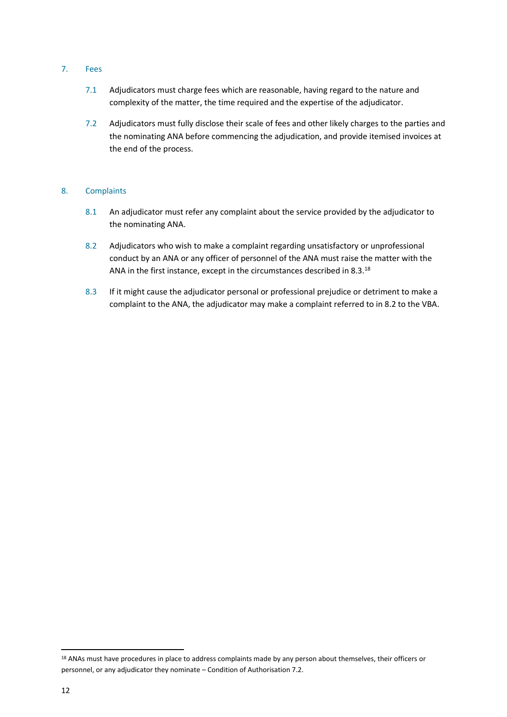### 7. Fees

- 7.1 Adjudicators must charge fees which are reasonable, having regard to the nature and complexity of the matter, the time required and the expertise of the adjudicator.
- 7.2 Adjudicators must fully disclose their scale of fees and other likely charges to the parties and the nominating ANA before commencing the adjudication, and provide itemised invoices at the end of the process.

### 8. Complaints

- 8.1 An adjudicator must refer any complaint about the service provided by the adjudicator to the nominating ANA.
- 8.2 Adjudicators who wish to make a complaint regarding unsatisfactory or unprofessional conduct by an ANA or any officer of personnel of the ANA must raise the matter with the ANA in the first instance, except in the circumstances described in 8.3.18
- 8.3 If it might cause the adjudicator personal or professional prejudice or detriment to make a complaint to the ANA, the adjudicator may make a complaint referred to in 8.2 to the VBA.

**.** 

<sup>&</sup>lt;sup>18</sup> ANAs must have procedures in place to address complaints made by any person about themselves, their officers or personnel, or any adjudicator they nominate – Condition of Authorisation 7.2.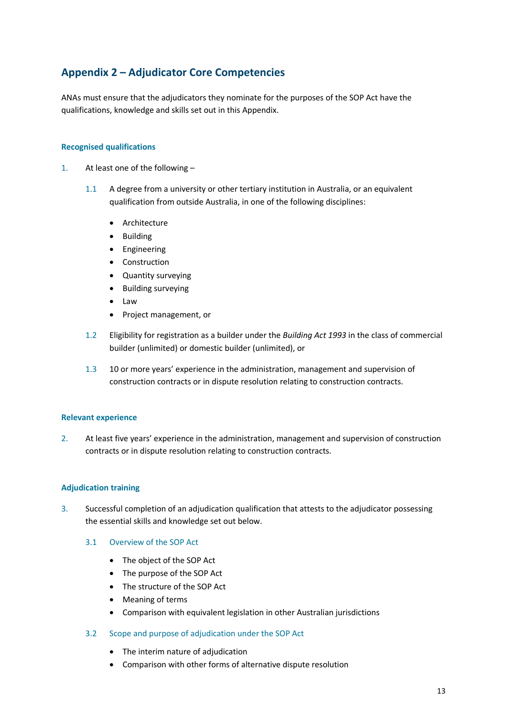# <span id="page-14-0"></span>**Appendix 2 – Adjudicator Core Competencies**

ANAs must ensure that the adjudicators they nominate for the purposes of the SOP Act have the qualifications, knowledge and skills set out in this Appendix.

### **Recognised qualifications**

- 1. At least one of the following
	- 1.1 A degree from a university or other tertiary institution in Australia, or an equivalent qualification from outside Australia, in one of the following disciplines:
		- Architecture
		- Building
		- Engineering
		- Construction
		- Quantity surveying
		- Building surveying
		- Law
		- Project management, or
	- 1.2 Eligibility for registration as a builder under the *Building Act 1993* in the class of commercial builder (unlimited) or domestic builder (unlimited), or
	- 1.3 10 or more years' experience in the administration, management and supervision of construction contracts or in dispute resolution relating to construction contracts.

#### **Relevant experience**

2. At least five years' experience in the administration, management and supervision of construction contracts or in dispute resolution relating to construction contracts.

#### **Adjudication training**

- 3. Successful completion of an adjudication qualification that attests to the adjudicator possessing the essential skills and knowledge set out below.
	- 3.1 Overview of the SOP Act
		- The object of the SOP Act
		- The purpose of the SOP Act
		- The structure of the SOP Act
		- Meaning of terms
		- Comparison with equivalent legislation in other Australian jurisdictions
	- 3.2 Scope and purpose of adjudication under the SOP Act
		- The interim nature of adjudication
		- Comparison with other forms of alternative dispute resolution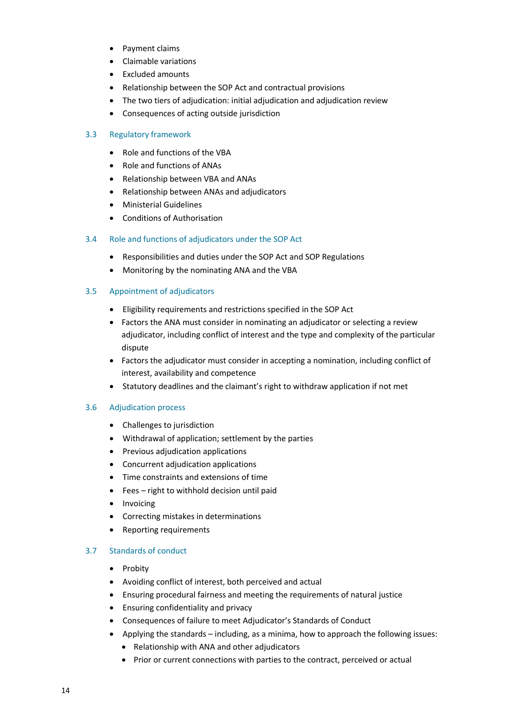- Payment claims
- Claimable variations
- Excluded amounts
- Relationship between the SOP Act and contractual provisions
- The two tiers of adjudication: initial adjudication and adjudication review
- Consequences of acting outside jurisdiction

### 3.3 Regulatory framework

- Role and functions of the VBA
- Role and functions of ANAs
- Relationship between VBA and ANAs
- Relationship between ANAs and adjudicators
- Ministerial Guidelines
- Conditions of Authorisation

### 3.4 Role and functions of adjudicators under the SOP Act

- Responsibilities and duties under the SOP Act and SOP Regulations
- Monitoring by the nominating ANA and the VBA

### 3.5 Appointment of adjudicators

- Eligibility requirements and restrictions specified in the SOP Act
- Factors the ANA must consider in nominating an adjudicator or selecting a review adjudicator, including conflict of interest and the type and complexity of the particular dispute
- Factors the adjudicator must consider in accepting a nomination, including conflict of interest, availability and competence
- Statutory deadlines and the claimant's right to withdraw application if not met

#### 3.6 Adjudication process

- Challenges to jurisdiction
- Withdrawal of application; settlement by the parties
- Previous adjudication applications
- Concurrent adjudication applications
- Time constraints and extensions of time
- Fees right to withhold decision until paid
- Invoicing
- Correcting mistakes in determinations
- Reporting requirements

### 3.7 Standards of conduct

- Probity
- Avoiding conflict of interest, both perceived and actual
- Ensuring procedural fairness and meeting the requirements of natural justice
- Ensuring confidentiality and privacy
- Consequences of failure to meet Adjudicator's Standards of Conduct
- Applying the standards including, as a minima, how to approach the following issues:
	- Relationship with ANA and other adjudicators
	- Prior or current connections with parties to the contract, perceived or actual